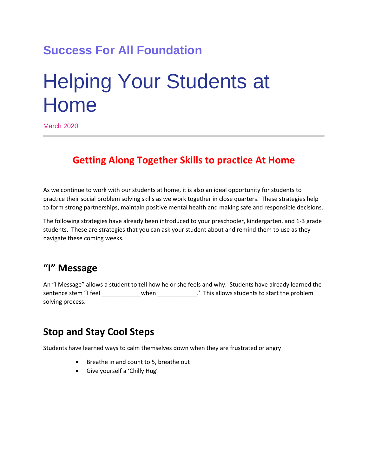# **Success For All Foundation**

# Helping Your Students at Home

March 2020

### **Getting Along Together Skills to practice At Home**

As we continue to work with our students at home, it is also an ideal opportunity for students to practice their social problem solving skills as we work together in close quarters. These strategies help to form strong partnerships, maintain positive mental health and making safe and responsible decisions.

The following strategies have already been introduced to your preschooler, kindergarten, and 1-3 grade students. These are strategies that you can ask your student about and remind them to use as they navigate these coming weeks.

#### **"I" Message**

An "I Message" allows a student to tell how he or she feels and why. Students have already learned the sentence stem "I feel \_\_\_\_\_\_\_\_\_\_\_\_\_\_when \_\_\_\_\_\_\_\_\_\_\_\_\_.' This allows students to start the problem solving process.

#### **Stop and Stay Cool Steps**

Students have learned ways to calm themselves down when they are frustrated or angry

- **•** Breathe in and count to 5, breathe out
- Give yourself a 'Chilly Hug'